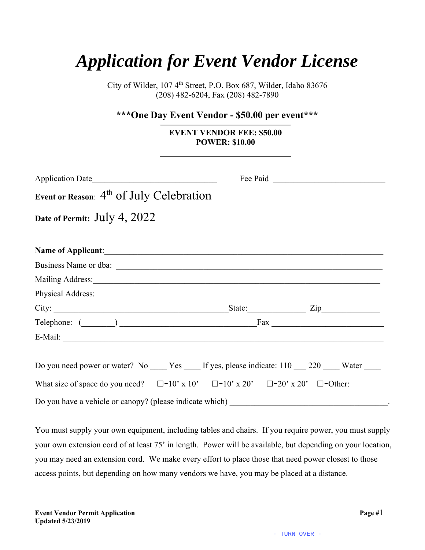## *Application for Event Vendor License*

City of Wilder, 107 4<sup>th</sup> Street, P.O. Box 687, Wilder, Idaho 83676 (208) 482-6204, Fax (208) 482-7890

## **\*\*\*One Day Event Vendor - \$50.00 per event\*\*\***

## **EVENT VENDOR FEE: \$50.00 POWER: \$10.00**

| Application Date                                                                                                                                                                                                                         |  |  |  |
|------------------------------------------------------------------------------------------------------------------------------------------------------------------------------------------------------------------------------------------|--|--|--|
| Event or Reason: 4 <sup>th</sup> of July Celebration                                                                                                                                                                                     |  |  |  |
| Date of Permit: July 4, 2022                                                                                                                                                                                                             |  |  |  |
|                                                                                                                                                                                                                                          |  |  |  |
| Name of Applicant: <u>contract of</u> the set of Applicant:                                                                                                                                                                              |  |  |  |
| Business Name or dba:                                                                                                                                                                                                                    |  |  |  |
| Mailing Address: 1988 and 2008 and 2008 and 2008 and 2008 and 2008 and 2008 and 2008 and 2008 and 2008 and 200                                                                                                                           |  |  |  |
|                                                                                                                                                                                                                                          |  |  |  |
| City: <u>City:</u> City: <u>City:</u> City: City: City: City: City: City: City: City: City: City: City: City: City: City: City: City: City: City: City: City: City: City: City: City: City: City: City: City: City: City: City: City: Ci |  |  |  |
|                                                                                                                                                                                                                                          |  |  |  |
|                                                                                                                                                                                                                                          |  |  |  |
|                                                                                                                                                                                                                                          |  |  |  |
| Do you need power or water? No _______ Yes ______ If yes, please indicate: 110 _____ 220 ______ Water ______                                                                                                                             |  |  |  |
| What size of space do you need? $\square$ -10' x 10' $\square$ -10' x 20' $\square$ -20' x 20' $\square$ -Other:                                                                                                                         |  |  |  |
| Do you have a vehicle or canopy? (please indicate which)                                                                                                                                                                                 |  |  |  |

You must supply your own equipment, including tables and chairs. If you require power, you must supply your own extension cord of at least 75' in length. Power will be available, but depending on your location, you may need an extension cord. We make every effort to place those that need power closest to those access points, but depending on how many vendors we have, you may be placed at a distance.